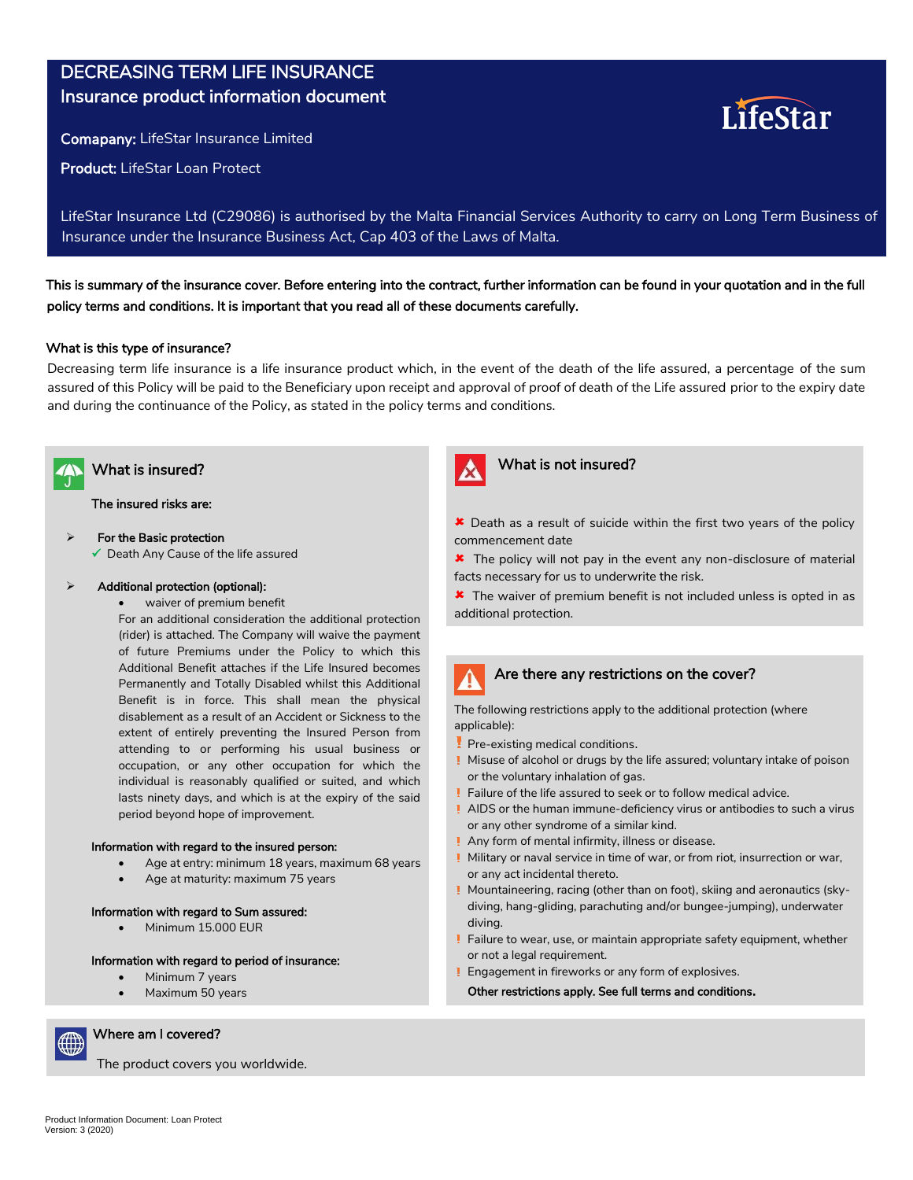# DECREASING TERM LIFE INSURANCE Insurance product information document

Comapany: LifeStar Insurance Limited

Product: LifeStar Loan Protect

LifeStar Insurance Ltd (C29086) is authorised by the Malta Financial Services Authority to carry on Long Term Business of Insurance under the Insurance Business Act, Cap 403 of the Laws of Malta.

This is summary of the insurance cover. Before entering into the contract, further information can be found in your quotation and in the full policy terms and conditions. It is important that you read all of these documents carefully.

#### What is this type of insurance?

Decreasing term life insurance is a life insurance product which, in the event of the death of the life assured, a percentage of the sum assured of this Policy will be paid to the Beneficiary upon receipt and approval of proof of death of the Life assured prior to the expiry date and during the continuance of the Policy, as stated in the policy terms and conditions.



The insured risks are:

 $\triangleright$  For the Basic protection

 $\checkmark$  Death Any Cause of the life assured

#### $\triangleright$  Additional protection (optional):

waiver of premium benefit

For an additional consideration the additional protection (rider) is attached. The Company will waive the payment of future Premiums under the Policy to which this Additional Benefit attaches if the Life Insured becomes Permanently and Totally Disabled whilst this Additional Benefit is in force. This shall mean the physical disablement as a result of an Accident or Sickness to the extent of entirely preventing the Insured Person from attending to or performing his usual business or occupation, or any other occupation for which the individual is reasonably qualified or suited, and which lasts ninety days, and which is at the expiry of the said period beyond hope of improvement.

#### Information with regard to the insured person:

- Age at entry: minimum 18 years, maximum 68 years
- Age at maturity: maximum 75 years

#### Information with regard to Sum assured:

Minimum 15.000 EUR

#### Information with regard to period of insurance:

- Minimum 7 years
- Maximum 50 years



Where am I covered?

The product covers you worldwide.



## What is insured? What is insured?

**\*** Death as a result of suicide within the first two years of the policy commencement date

LifeStar

**\*** The policy will not pay in the event any non-disclosure of material facts necessary for us to underwrite the risk.

**\*** The waiver of premium benefit is not included unless is opted in as additional protection.

## Are there any restrictions on the cover?

The following restrictions apply to the additional protection (where applicable):

- Pre-existing medical conditions.
- Misuse of alcohol or drugs by the life assured; voluntary intake of poison or the voluntary inhalation of gas.
- Failure of the life assured to seek or to follow medical advice.
- or any other syndrome of a similar kind. AIDS or the human immune-deficiency virus or antibodies to such a virus
- ! Any form of mental infirmity, illness or disease.
- Military or naval service in time of war, or from riot, insurrection or war, or any act incidental thereto.
- Mountaineering, racing (other than on foot), skiing and aeronautics (sky**eveniment legat de sarcină (inclusiv naștere)** diving, hang-gliding, parachuting and/or bungee-jumping), underwater diving.
- Failure to wear, use, or maintain appropriate safety equipment, whether or not a legal requirement.
- or not a regar requirement.<br>Engagement in fireworks or any form of explosives.

Other restrictions apply. See full terms and conditions<mark>.</mark>